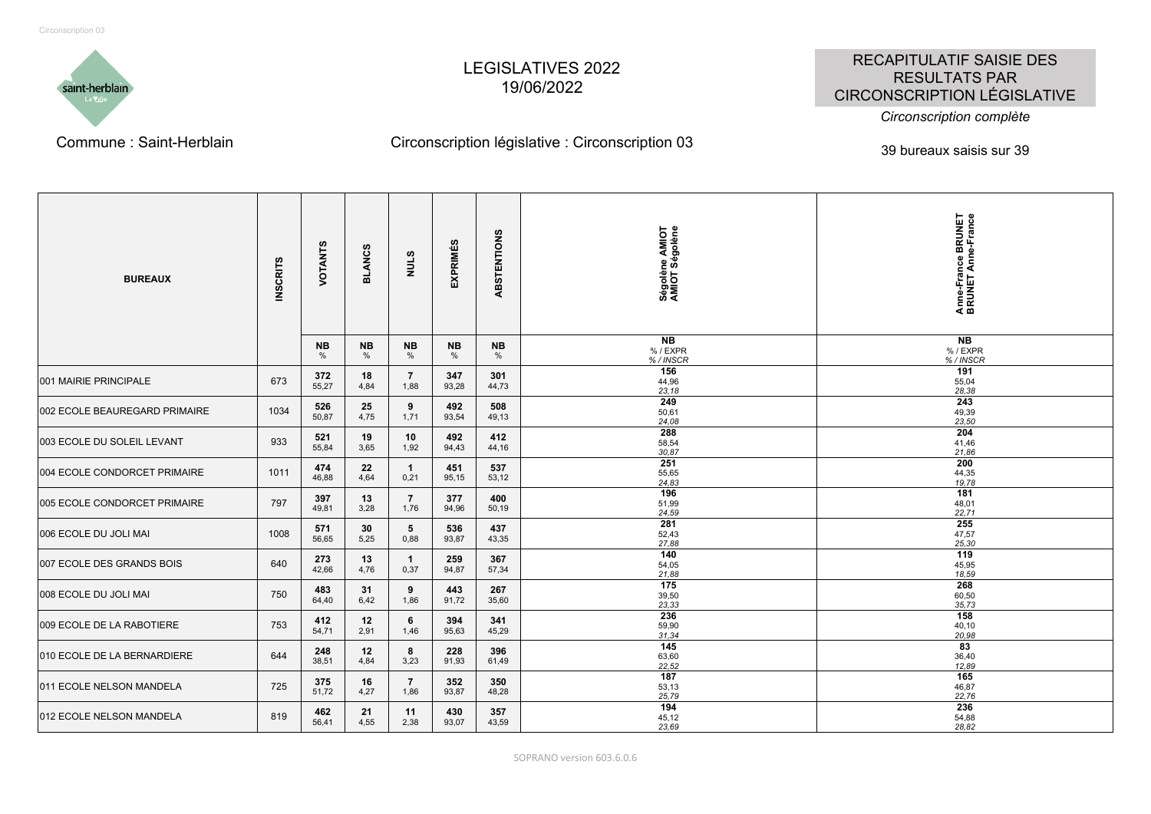

## LEGISLATIVES 2022 19/06/2022

## RECAPITULATIF SAISIE DES RESULTATS PAR CIRCONSCRIPTION LÉGISLATIVE

*Circonscription complète*

## Commune : Saint-Herblain Circonscription législative : Circonscription 03 639 bureaux saisis sur 39

| <b>BUREAUX</b>                | <b>INSCRITS</b> | VOTANTS      | <b>BLANCS</b>     | <b>NULS</b>             | <b>EXPRIMÉS</b>   | ABSTENTIONS    | Ségolène AMIOT<br>AMIOT Ségolène<br>N <sub>B</sub> | Anne-France BRUNET<br>BRUNET Anne-France<br>N <sub>B</sub> |
|-------------------------------|-----------------|--------------|-------------------|-------------------------|-------------------|----------------|----------------------------------------------------|------------------------------------------------------------|
|                               |                 | NB.<br>$\%$  | <b>NB</b><br>$\%$ | <b>NB</b><br>%          | <b>NB</b><br>$\%$ | <b>NB</b><br>% | % / EXPR<br>%/INSCR                                | %/EXPR<br>%/INSCR                                          |
| 001 MAIRIE PRINCIPALE         | 673             | 372<br>55,27 | 18<br>4,84        | $\overline{7}$<br>1,88  | 347<br>93,28      | 301<br>44,73   | 156<br>44,96<br>23,18                              | 191<br>55,04<br>28,38                                      |
| 002 ECOLE BEAUREGARD PRIMAIRE | 1034            | 526<br>50,87 | 25<br>4,75        | 9<br>1,71               | 492<br>93,54      | 508<br>49,13   | 249<br>50,61<br>24,08                              | 243<br>49,39<br>23,50                                      |
| 003 ECOLE DU SOLEIL LEVANT    | 933             | 521<br>55,84 | 19<br>3,65        | 10<br>1,92              | 492<br>94,43      | 412<br>44,16   | 288<br>58,54<br>30.87                              | 204<br>41,46<br>21,86                                      |
| 004 ECOLE CONDORCET PRIMAIRE  | 1011            | 474<br>46,88 | 22<br>4,64        | $\mathbf{1}$<br>0,21    | 451<br>95,15      | 537<br>53,12   | 251<br>55,65<br>24,83                              | 200<br>44,35<br>19,78                                      |
| 005 ECOLE CONDORCET PRIMAIRE  | 797             | 397<br>49,81 | 13<br>3,28        | $\overline{7}$<br>1,76  | 377<br>94,96      | 400<br>50,19   | 196<br>51,99<br>24,59                              | 181<br>48,01<br>22,71                                      |
| 006 ECOLE DU JOLI MAI         | 1008            | 571<br>56,65 | 30<br>5,25        | $5\phantom{.0}$<br>0,88 | 536<br>93,87      | 437<br>43,35   | 281<br>52,43<br>27,88                              | 255<br>47,57<br>25,30                                      |
| 007 ECOLE DES GRANDS BOIS     | 640             | 273<br>42,66 | 13<br>4,76        | $\mathbf{1}$<br>0,37    | 259<br>94,87      | 367<br>57,34   | 140<br>54,05<br>21,88                              | 119<br>45,95<br>18,59                                      |
| 008 ECOLE DU JOLI MAI         | 750             | 483<br>64,40 | 31<br>6,42        | 9<br>1,86               | 443<br>91,72      | 267<br>35,60   | 175<br>39,50<br>23,33                              | 268<br>60,50<br>35,73                                      |
| 009 ECOLE DE LA RABOTIERE     | 753             | 412<br>54,71 | 12<br>2,91        | 6<br>1,46               | 394<br>95,63      | 341<br>45,29   | 236<br>59,90<br>31.34                              | 158<br>40,10<br>20,98                                      |
| 010 ECOLE DE LA BERNARDIERE   | 644             | 248<br>38,51 | 12<br>4,84        | 8<br>3,23               | 228<br>91,93      | 396<br>61,49   | 145<br>63,60<br>22,52                              | 83<br>36,40<br>12,89                                       |
| 011 ECOLE NELSON MANDELA      | 725             | 375<br>51,72 | 16<br>4,27        | $\overline{7}$<br>1,86  | 352<br>93,87      | 350<br>48,28   | 187<br>53,13<br>25,79                              | 165<br>46,87<br>22,76                                      |
| 012 ECOLE NELSON MANDELA      | 819             | 462<br>56,41 | 21<br>4,55        | 11<br>2,38              | 430<br>93,07      | 357<br>43,59   | 194<br>45,12<br>23.69                              | 236<br>54,88<br>28,82                                      |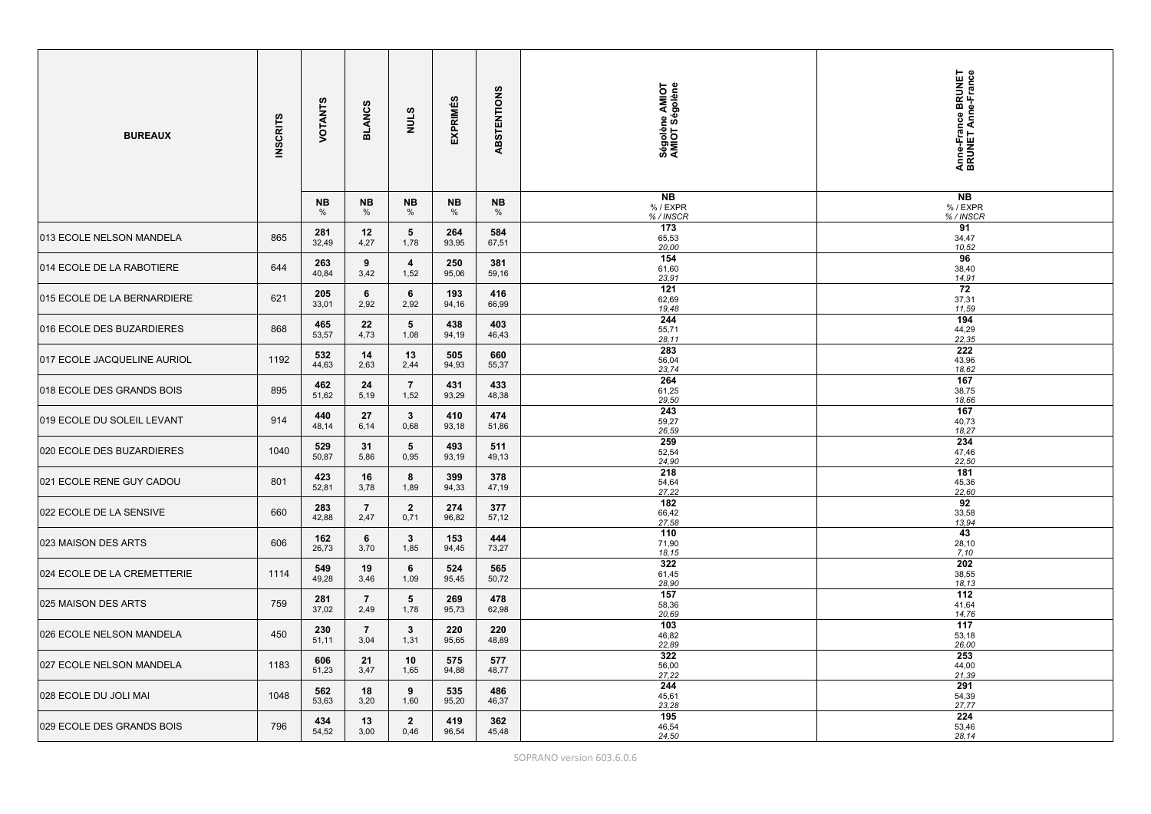| <b>BUREAUX</b>              | <b>INSCRITS</b> | VOTANTS      | <b>BLANCS</b>          | <b>NULS</b>             | <b>EXPRIMÉS</b> | ABSTENTIONS  | Ségolène AMIOT<br>AMIOT Ségolène | Anne-France BRUNET<br>BRUNET Anne-France |
|-----------------------------|-----------------|--------------|------------------------|-------------------------|-----------------|--------------|----------------------------------|------------------------------------------|
|                             |                 | NB<br>%      | NB<br>$\frac{0}{0}$    | NΒ<br>%                 | NB<br>%         | NB<br>%      | <b>NB</b><br>% / EXPR<br>%/INSCR | <b>NB</b><br>% / EXPR<br>%/INSCR         |
| 013 ECOLE NELSON MANDELA    | 865             | 281<br>32,49 | 12<br>4,27             | $5\phantom{.0}$<br>1,78 | 264<br>93,95    | 584<br>67,51 | 173<br>65,53<br>20,00            | 91<br>34,47<br>10,52                     |
| 014 ECOLE DE LA RABOTIERE   | 644             | 263<br>40,84 | 9<br>3,42              | $\overline{4}$<br>1,52  | 250<br>95,06    | 381<br>59,16 | 154<br>61,60<br>23,91            | 96<br>38,40<br>14,91                     |
| 015 ECOLE DE LA BERNARDIERE | 621             | 205<br>33,01 | 6<br>2,92              | 6<br>2,92               | 193<br>94,16    | 416<br>66,99 | 121<br>62,69<br>19,48            | 72<br>37,31<br>11,59                     |
| 016 ECOLE DES BUZARDIERES   | 868             | 465<br>53,57 | 22<br>4,73             | $5\overline{)}$<br>1,08 | 438<br>94,19    | 403<br>46,43 | 244<br>55,71<br>28.11            | 194<br>44,29<br>22,35                    |
| 017 ECOLE JACQUELINE AURIOL | 1192            | 532<br>44,63 | 14<br>2,63             | 13<br>2,44              | 505<br>94,93    | 660<br>55,37 | 283<br>56,04<br>23,74            | $\overline{222}$<br>43,96<br>18,62       |
| 018 ECOLE DES GRANDS BOIS   | 895             | 462<br>51,62 | 24<br>5,19             | $\overline{7}$<br>1,52  | 431<br>93,29    | 433<br>48,38 | 264<br>61,25<br>29,50            | 167<br>38,75<br>18,66                    |
| 019 ECOLE DU SOLEIL LEVANT  | 914             | 440<br>48,14 | 27<br>6,14             | $\mathbf{3}$<br>0,68    | 410<br>93,18    | 474<br>51,86 | 243<br>59,27<br>26,59            | 167<br>40,73<br>18,27                    |
| 020 ECOLE DES BUZARDIERES   | 1040            | 529<br>50,87 | 31<br>5,86             | $5\phantom{.0}$<br>0,95 | 493<br>93,19    | 511<br>49,13 | 259<br>52,54<br>24,90            | 234<br>47,46<br>22,50                    |
| 021 ECOLE RENE GUY CADOU    | 801             | 423<br>52,81 | 16<br>3,78             | 8<br>1,89               | 399<br>94,33    | 378<br>47,19 | 218<br>54,64<br>27,22            | 181<br>45,36<br>22,60                    |
| 022 ECOLE DE LA SENSIVE     | 660             | 283<br>42,88 | $\overline{7}$<br>2,47 | $\mathbf{2}$<br>0,71    | 274<br>96,82    | 377<br>57,12 | 182<br>66,42<br>27,58            | 92<br>33,58<br>13,94                     |
| 023 MAISON DES ARTS         | 606             | 162<br>26,73 | 6<br>3,70              | $\mathbf{3}$<br>1,85    | 153<br>94,45    | 444<br>73,27 | 110<br>71,90<br>18.15            | 43<br>28,10<br>7,10                      |
| 024 ECOLE DE LA CREMETTERIE | 1114            | 549<br>49,28 | 19<br>3,46             | 6<br>1,09               | 524<br>95,45    | 565<br>50,72 | 322<br>61,45<br>28,90            | 202<br>38,55<br>18,13                    |
| 025 MAISON DES ARTS         | 759             | 281<br>37,02 | $\overline{7}$<br>2,49 | $5^{\circ}$<br>1,78     | 269<br>95,73    | 478<br>62,98 | 157<br>58,36<br>20,69            | 112<br>41,64<br>14,76                    |
| 026 ECOLE NELSON MANDELA    | 450             | 230<br>51,11 | $\overline{7}$<br>3,04 | $3^{\circ}$<br>1,31     | 220<br>95,65    | 220<br>48,89 | 103<br>46,82<br>22,89            | 117<br>53,18<br>26,00                    |
| 027 ECOLE NELSON MANDELA    | 1183            | 606<br>51,23 | 21<br>3,47             | 10<br>1,65              | 575<br>94,88    | 577<br>48,77 | 322<br>56,00<br>27,22            | 253<br>44,00<br>21,39                    |
| 028 ECOLE DU JOLI MAI       | 1048            | 562<br>53,63 | 18<br>3,20             | 9<br>1,60               | 535<br>95,20    | 486<br>46,37 | 244<br>45,61<br>23,28            | 291<br>54,39<br>27,77                    |
| 029 ECOLE DES GRANDS BOIS   | 796             | 434<br>54,52 | 13<br>3,00             | $\overline{2}$<br>0,46  | 419<br>96,54    | 362<br>45,48 | 195<br>46,54<br>24,50            | 224<br>53,46<br>28,14                    |